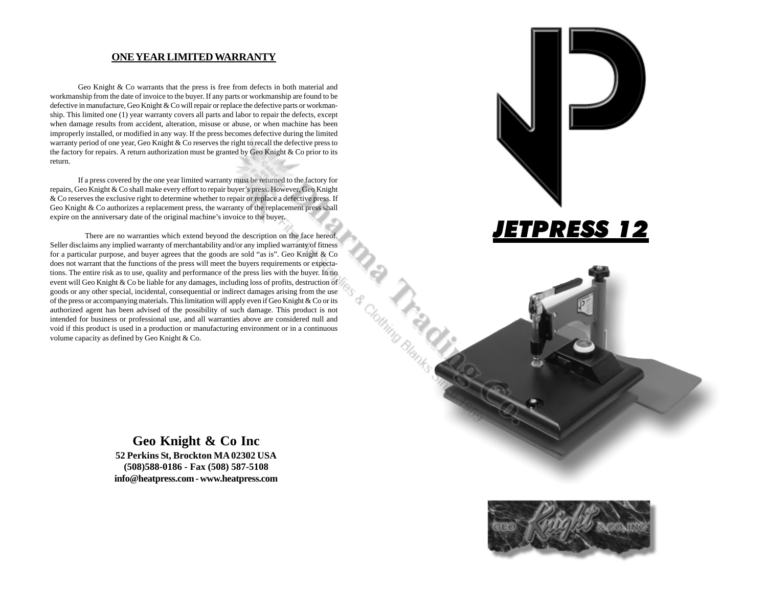#### **ONE YEAR LIMITED WARRANTY**

Geo Knight & Co warrants that the press is free from defects in both material and workmanship from the date of invoice to the buyer. If any parts or workmanship are found to be defective in manufacture, Geo Knight & Co will repair or replace the defective parts or workmanship. This limited one (1) year warranty covers all parts and labor to repair the defects, except when damage results from accident, alteration, misuse or abuse, or when machine has been improperly installed, or modified in any way. If the press becomes defective during the limited warranty period of one year, Geo Knight & Co reserves the right to recall the defective press to the factory for repairs. A return authorization must be granted by Geo Knight  $\&$  Co prior to its return.

If a press covered by the one year limited warranty must be returned to the factory for repairs, Geo Knight & Co shall make every effort to repair buyer's press. However, Geo Knight & Co reserves the exclusive right to determine whether to repair or replace a defective press. If Geo Knight & Co authorizes a replacement press, the warranty of the replacement press shall expire on the anniversary date of the original machine's invoice to the buyer.

There are no warranties which extend beyond the description on the face hereof. Seller disclaims any implied warranty of merchantability and/or any implied warranty of fitness for a particular purpose, and buyer agrees that the goods are sold "as is". Geo Knight & Co does not warrant that the functions of the press will meet the buyers requirements or expectations. The entire risk as to use, quality and performance of the press lies with the buyer. In no event will Geo Knight & Co be liable for any damages, including loss of profits, destruction of goods or any other special, incidental, consequential or indirect damages arising from the use of the press or accompanying materials. This limitation will apply even if Geo Knight & Co or its authorized agent has been advised of the possibility of such damage. This product is not intended for business or professional use, and all warranties above are considered null and void if this product is used in a production or manufacturing environment or in a continuous volume capacity as defined by Geo Knight & Co.







**Geo Knight & Co Inc 52 Perkins St, Brockton MA 02302 USA (508)588-0186 - Fax (508) 587-5108 info@heatpress.com - www.heatpress.com**